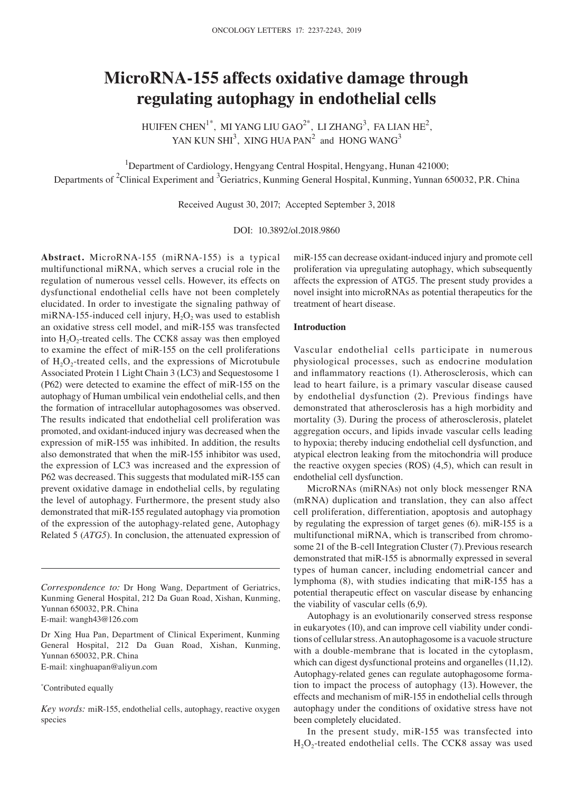# **MicroRNA‑155 affects oxidative damage through regulating autophagy in endothelial cells**

HUIFEN CHEN<sup>1\*</sup>, MI YANG LIU GAO<sup>2\*</sup>, LI ZHANG<sup>3</sup>, FA LIAN HE<sup>2</sup>, YAN KUN SHI<sup>3</sup>, XING HUA PAN<sup>2</sup> and HONG WANG<sup>3</sup>

<sup>1</sup>Department of Cardiology, Hengyang Central Hospital, Hengyang, Hunan 421000; Departments of <sup>2</sup>Clinical Experiment and <sup>3</sup>Geriatrics, Kunming General Hospital, Kunming, Yunnan 650032, P.R. China

Received August 30, 2017; Accepted September 3, 2018

DOI: 10.3892/ol.2018.9860

**Abstract.** MicroRNA-155 (miRNA-155) is a typical multifunctional miRNA, which serves a crucial role in the regulation of numerous vessel cells. However, its effects on dysfunctional endothelial cells have not been completely elucidated. In order to investigate the signaling pathway of miRNA-155-induced cell injury,  $H_2O_2$  was used to establish an oxidative stress cell model, and miR-155 was transfected into  $H_2O_2$ -treated cells. The CCK8 assay was then employed to examine the effect of miR-155 on the cell proliferations of  $H_2O_2$ -treated cells, and the expressions of Microtubule Associated Protein 1 Light Chain 3 (LC3) and Sequestosome 1 (P62) were detected to examine the effect of miR-155 on the autophagy of Human umbilical vein endothelial cells, and then the formation of intracellular autophagosomes was observed. The results indicated that endothelial cell proliferation was promoted, and oxidant-induced injury was decreased when the expression of miR-155 was inhibited. In addition, the results also demonstrated that when the miR-155 inhibitor was used, the expression of LC3 was increased and the expression of P62 was decreased. This suggests that modulated miR-155 can prevent oxidative damage in endothelial cells, by regulating the level of autophagy. Furthermore, the present study also demonstrated that miR-155 regulated autophagy via promotion of the expression of the autophagy-related gene, Autophagy Related 5 (*ATG5*). In conclusion, the attenuated expression of

*Correspondence to:* Dr Hong Wang, Department of Geriatrics, Kunming General Hospital, 212 Da Guan Road, Xishan, Kunming, Yunnan 650032, P.R. China E-mail: wangh43@126.com

Dr Xing Hua Pan, Department of Clinical Experiment, Kunming General Hospital, 212 Da Guan Road, Xishan, Kunming, Yunnan 650032, P.R. China E-mail: xinghuapan@aliyun.com

# \* Contributed equally

*Key words:* miR-155, endothelial cells, autophagy, reactive oxygen species

miR-155 can decrease oxidant-induced injury and promote cell proliferation via upregulating autophagy, which subsequently affects the expression of ATG5. The present study provides a novel insight into microRNAs as potential therapeutics for the treatment of heart disease.

# **Introduction**

Vascular endothelial cells participate in numerous physiological processes, such as endocrine modulation and inflammatory reactions (1). Atherosclerosis, which can lead to heart failure, is a primary vascular disease caused by endothelial dysfunction (2). Previous findings have demonstrated that atherosclerosis has a high morbidity and mortality (3). During the process of atherosclerosis, platelet aggregation occurs, and lipids invade vascular cells leading to hypoxia; thereby inducing endothelial cell dysfunction, and atypical electron leaking from the mitochondria will produce the reactive oxygen species (ROS) (4,5), which can result in endothelial cell dysfunction.

MicroRNAs (miRNAs) not only block messenger RNA (mRNA) duplication and translation, they can also affect cell proliferation, differentiation, apoptosis and autophagy by regulating the expression of target genes (6). miR-155 is a multifunctional miRNA, which is transcribed from chromosome 21 of the B-cell Integration Cluster (7).Previous research demonstrated that miR-155 is abnormally expressed in several types of human cancer, including endometrial cancer and lymphoma (8), with studies indicating that miR-155 has a potential therapeutic effect on vascular disease by enhancing the viability of vascular cells (6,9).

Autophagy is an evolutionarily conserved stress response in eukaryotes (10), and can improve cell viability under conditions of cellular stress. An autophagosome is a vacuole structure with a double-membrane that is located in the cytoplasm, which can digest dysfunctional proteins and organelles (11,12). Autophagy-related genes can regulate autophagosome formation to impact the process of autophagy (13). However, the effects and mechanism of miR-155 in endothelial cells through autophagy under the conditions of oxidative stress have not been completely elucidated.

In the present study, miR-155 was transfected into  $H_2O_2$ -treated endothelial cells. The CCK8 assay was used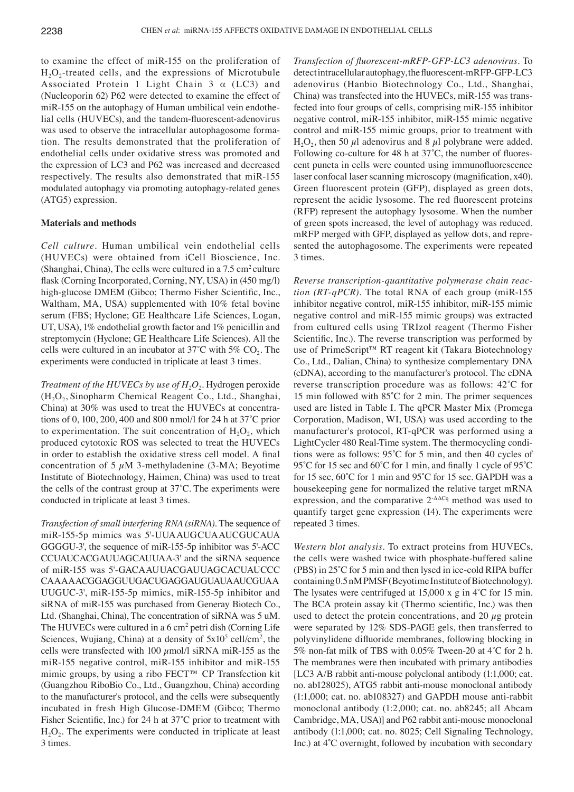to examine the effect of miR-155 on the proliferation of  $H_2O_2$ -treated cells, and the expressions of Microtubule Associated Protein 1 Light Chain 3 α (LC3) and (Nucleoporin 62) P62 were detected to examine the effect of miR-155 on the autophagy of Human umbilical vein endothelial cells (HUVECs), and the tandem‑fluorescent‑adenovirus was used to observe the intracellular autophagosome formation. The results demonstrated that the proliferation of endothelial cells under oxidative stress was promoted and the expression of LC3 and P62 was increased and decreased respectively. The results also demonstrated that miR-155 modulated autophagy via promoting autophagy-related genes (ATG5) expression.

# **Materials and methods**

*Cell culture.* Human umbilical vein endothelial cells (HUVECs) were obtained from iCell Bioscience, Inc. (Shanghai, China), The cells were cultured in a  $7.5 \text{ cm}^2$  culture flask (Corning Incorporated, Corning, NY, USA) in (450 mg/l) high-glucose DMEM (Gibco; Thermo Fisher Scientific, Inc., Waltham, MA, USA) supplemented with 10% fetal bovine serum (FBS; Hyclone; GE Healthcare Life Sciences, Logan, UT, USA), 1% endothelial growth factor and 1% penicillin and streptomycin (Hyclone; GE Healthcare Life Sciences). All the cells were cultured in an incubator at  $37^{\circ}$ C with  $5\%$  CO<sub>2</sub>. The experiments were conducted in triplicate at least 3 times.

*Treatment of the HUVECs by use of H<sub>2</sub>O<sub>2</sub>. Hydrogen peroxide*  $(H<sub>2</sub>O<sub>2</sub>, Sinopharm Chemical Research Co., Ltd., Shanghai,$ China) at 30% was used to treat the HUVECs at concentrations of 0, 100, 200, 400 and 800 nmol/l for 24 h at 37˚C prior to experimentation. The suit concentration of  $H_2O_2$ , which produced cytotoxic ROS was selected to treat the HUVECs in order to establish the oxidative stress cell model. A final concentration of 5  $\mu$ M 3-methyladenine (3-MA; Beyotime Institute of Biotechnology, Haimen, China) was used to treat the cells of the contrast group at 37˚C. The experiments were conducted in triplicate at least 3 times.

*Transfection of small interfering RNA (siRNA).* The sequence of miR-155-5p mimics was 5'-UUAAUGCUAAUCGUCAUA GGGGU-3', the sequence of miR-155-5p inhibitor was 5'-ACC CCUAUCACGAUUAGCAUUAA-3' and the siRNA sequence of miR-155 was 5'-GACAAUUACGAUUAGCACUAUCCC CAAAAACGGAGGUUGACUGAGGAUGUAUAAUCGUAA UUGUC-3', miR-155-5p mimics, miR-155-5p inhibitor and siRNA of miR-155 was purchased from Generay Biotech Co., Ltd. (Shanghai, China), The concentration of siRNA was 5 uM. The HUVECs were cultured in a 6 cm<sup>2</sup> petri dish (Corning Life Sciences, Wujiang, China) at a density of  $5x10^5$  cell/cm<sup>2</sup>, the cells were transfected with 100  $\mu$ mol/l siRNA miR-155 as the miR-155 negative control, miR-155 inhibitor and miR-155 mimic groups, by using a ribo FECT™ CP Transfection kit (Guangzhou RiboBio Co., Ltd., Guangzhou, China) according to the manufacturer's protocol, and the cells were subsequently incubated in fresh High Glucose-DMEM (Gibco; Thermo Fisher Scientific, Inc.) for 24 h at 37°C prior to treatment with  $H<sub>2</sub>O<sub>2</sub>$ . The experiments were conducted in triplicate at least 3 times.

*Transfection of fluorescent‑mRFP‑GFP‑LC3 adenovirus.* To detect intracellular autophagy, the fluorescent-mRFP-GFP-LC3 adenovirus (Hanbio Biotechnology Co., Ltd., Shanghai, China) was transfected into the HUVECs, miR-155 was transfected into four groups of cells, comprising miR-155 inhibitor negative control, miR-155 inhibitor, miR-155 mimic negative control and miR-155 mimic groups, prior to treatment with H<sub>2</sub>O<sub>2</sub>, then 50  $\mu$ l adenovirus and 8  $\mu$ l polybrane were added. Following co-culture for 48 h at 37°C, the number of fluorescent puncta in cells were counted using immunofluorescence laser confocal laser scanning microscopy (magnification, x40). Green fluorescent protein (GFP), displayed as green dots, represent the acidic lysosome. The red fluorescent proteins (RFP) represent the autophagy lysosome. When the number of green spots increased, the level of autophagy was reduced. mRFP merged with GFP, displayed as yellow dots, and represented the autophagosome. The experiments were repeated 3 times.

*Reverse transcription‑quantitative polymerase chain reac‑ tion (RT‑qPCR).* The total RNA of each group (miR-155 inhibitor negative control, miR-155 inhibitor, miR-155 mimic negative control and miR-155 mimic groups) was extracted from cultured cells using TRIzol reagent (Thermo Fisher Scientific, Inc.). The reverse transcription was performed by use of PrimeScript™ RT reagent kit (Takara Biotechnology Co., Ltd., Dalian, China) to synthesize complementary DNA (cDNA), according to the manufacturer's protocol. The cDNA reverse transcription procedure was as follows: 42˚C for 15 min followed with 85˚C for 2 min. The primer sequences used are listed in Table I. The qPCR Master Mix (Promega Corporation, Madison, WI, USA) was used according to the manufacturer's protocol, RT-qPCR was performed using a LightCycler 480 Real-Time system. The thermocycling conditions were as follows: 95˚C for 5 min, and then 40 cycles of 95°C for 15 sec and 60°C for 1 min, and finally 1 cycle of 95°C for 15 sec,  $60^{\circ}$ C for 1 min and 95°C for 15 sec. GAPDH was a housekeeping gene for normalized the relative target mRNA expression, and the comparative  $2-\Delta C\alpha$  method was used to quantify target gene expression (14). The experiments were repeated 3 times.

*Western blot analysis.* To extract proteins from HUVECs, the cells were washed twice with phosphate-buffered saline (PBS) in 25˚C for 5 min and then lysed in ice‑cold RIPA buffer containing 0.5nM PMSF (Beyotime Institute of Biotechnology). The lysates were centrifuged at 15,000 x g in 4<sup>°</sup>C for 15 min. The BCA protein assay kit (Thermo scientific, Inc.) was then used to detect the protein concentrations, and 20  $\mu$ g protein were separated by 12% SDS-PAGE gels, then transferred to polyvinylidene difluoride membranes, following blocking in 5% non‑fat milk of TBS with 0.05% Tween‑20 at 4˚C for 2 h. The membranes were then incubated with primary antibodies [LC3 A/B rabbit anti-mouse polyclonal antibody (1:1,000; cat. no. ab128025), ATG5 rabbit anti-mouse monoclonal antibody (1:1,000; cat. no. ab108327) and GAPDH mouse anti-rabbit monoclonal antibody (1:2,000; cat. no. ab8245; all Abcam Cambridge, MA, USA)] and P62 rabbit anti-mouse monoclonal antibody (1:1,000; cat. no. 8025; Cell Signaling Technology, Inc.) at 4˚C overnight, followed by incubation with secondary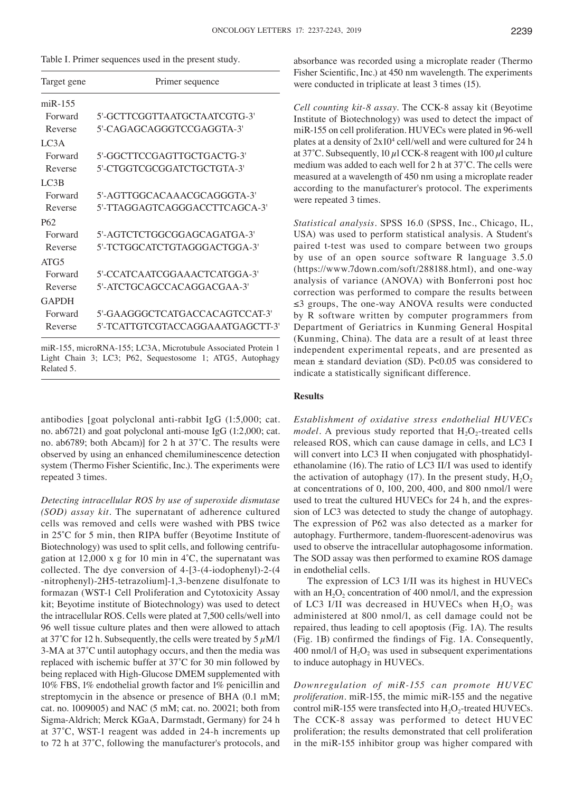| Table I. Primer sequences used in the present study. |  |  |
|------------------------------------------------------|--|--|
|------------------------------------------------------|--|--|

| Target gene     | Primer sequence                  |
|-----------------|----------------------------------|
| $m$ i $R-155$   |                                  |
| Forward         | 5'-GCTTCGGTTAATGCTAATCGTG-3'     |
| Reverse         | 5'-CAGAGCAGGGTCCGAGGTA-3'        |
| LC3A            |                                  |
| Forward         | 5'-GGCTTCCGAGTTGCTGACTG-3'       |
| Reverse         | 5'-CTGGTCGCGGATCTGCTGTA-3'       |
| LC3B            |                                  |
| Forward         | 5'-AGTTGGCACAAACGCAGGGTA-3'      |
| Reverse         | 5'-TTAGGAGTCAGGGACCTTCAGCA-3'    |
| P <sub>62</sub> |                                  |
| Forward         | 5'-AGTCTCTGGCGGAGCAGATGA-3'      |
| Reverse         | 5'-TCTGGCATCTGTAGGGACTGGA-3'     |
| ATG5            |                                  |
| Forward         | 5'-CCATCAATCGGAAACTCATGGA-3'     |
| Reverse         | 5'-ATCTGCAGCCACAGGACGAA-3'       |
| <b>GAPDH</b>    |                                  |
| Forward         | 5'-GAAGGGCTCATGACCACAGTCCAT-3'   |
| Reverse         | 5'-TCATTGTCGTACCAGGAAATGAGCTT-3' |

miR-155, microRNA-155; LC3A, Microtubule Associated Protein 1 Light Chain 3; LC3; P62, Sequestosome 1; ATG5, Autophagy Related 5.

antibodies [goat polyclonal anti-rabbit IgG (1:5,000; cat. no. ab6721) and goat polyclonal anti-mouse IgG (1:2,000; cat. no. ab6789; both Abcam)] for 2 h at 37˚C. The results were observed by using an enhanced chemiluminescence detection system (Thermo Fisher Scientific, Inc.). The experiments were repeated 3 times.

*Detecting intracellular ROS by use of superoxide dismutase (SOD) assay kit.* The supernatant of adherence cultured cells was removed and cells were washed with PBS twice in 25˚C for 5 min, then RIPA buffer (Beyotime Institute of Biotechnology) was used to split cells, and following centrifugation at 12,000 x g for 10 min in  $4^{\circ}$ C, the supernatant was collected. The dye conversion of 4-[3-(4-iodophenyl)-2-(4 -nitrophenyl)-2H5-tetrazolium]-1,3-benzene disulfonate to formazan (WST-1 Cell Proliferation and Cytotoxicity Assay kit; Beyotime institute of Biotechnology) was used to detect the intracellular ROS. Cells were plated at 7,500 cells/well into 96 well tissue culture plates and then were allowed to attach at 37°C for 12 h. Subsequently, the cells were treated by  $5 \mu M/l$ 3‑MA at 37˚C until autophagy occurs, and then the media was replaced with ischemic buffer at 37˚C for 30 min followed by being replaced with High-Glucose DMEM supplemented with 10% FBS, 1% endothelial growth factor and 1% penicillin and streptomycin in the absence or presence of BHA (0.1 mM; cat. no. 1009005) and NAC (5 mM; cat. no. 20021; both from Sigma-Aldrich; Merck KGaA, Darmstadt, Germany) for 24 h at 37˚C, WST‑1 reagent was added in 24‑h increments up to 72 h at 37˚C, following the manufacturer's protocols, and absorbance was recorded using a microplate reader (Thermo Fisher Scientific, Inc.) at 450 nm wavelength. The experiments were conducted in triplicate at least 3 times (15).

*Cell counting kit‑8 assay.* The CCK-8 assay kit (Beyotime Institute of Biotechnology) was used to detect the impact of miR-155 on cell proliferation. HUVECs were plated in 96-well plates at a density of  $2x10^4$  cell/well and were cultured for 24 h at 37°C. Subsequently, 10  $\mu$ l CCK-8 reagent with 100  $\mu$ l culture medium was added to each well for 2 h at 37˚C. The cells were measured at a wavelength of 450 nm using a microplate reader according to the manufacturer's protocol. The experiments were repeated 3 times.

*Statistical analysis.* SPSS 16.0 (SPSS, Inc., Chicago, IL, USA) was used to perform statistical analysis. A Student's paired t-test was used to compare between two groups by use of an open source software R language 3.5.0 (https://www.7down.com/soft/288188.html), and one-way analysis of variance (ANOVA) with Bonferroni post hoc correction was performed to compare the results between ≤3 groups, The one‑way ANOVA results were conducted by R software written by computer programmers from Department of Geriatrics in Kunming General Hospital (Kunming, China). The data are a result of at least three independent experimental repeats, and are presented as mean  $\pm$  standard deviation (SD). P<0.05 was considered to indicate a statistically significant difference.

# **Results**

*Establishment of oxidative stress endothelial HUVECs model*. A previous study reported that  $H_2O_2$ -treated cells released ROS, which can cause damage in cells, and LC3 I will convert into LC3 II when conjugated with phosphatidylethanolamine (16). The ratio of LC3 II/I was used to identify the activation of autophagy (17). In the present study,  $H_2O_2$ at concentrations of 0, 100, 200, 400, and 800 nmol/l were used to treat the cultured HUVECs for 24 h, and the expression of LC3 was detected to study the change of autophagy. The expression of P62 was also detected as a marker for autophagy. Furthermore, tandem‑fluorescent‑adenovirus was used to observe the intracellular autophagosome information. The SOD assay was then performed to examine ROS damage in endothelial cells.

The expression of LC3 I/II was its highest in HUVECs with an  $H_2O_2$  concentration of 400 nmol/l, and the expression of LC3 I/II was decreased in HUVECs when  $H_2O_2$  was administered at 800 nmol/l, as cell damage could not be repaired, thus leading to cell apoptosis (Fig. 1A). The results (Fig. 1B) confirmed the findings of Fig. 1A. Consequently, 400 nmol/l of  $H_2O_2$  was used in subsequent experimentations to induce autophagy in HUVECs.

*Downregulation of miR‑155 can promote HUVEC proliferation.* miR-155, the mimic miR-155 and the negative control miR-155 were transfected into  $H_2O_2$ -treated HUVECs. The CCK-8 assay was performed to detect HUVEC proliferation; the results demonstrated that cell proliferation in the miR-155 inhibitor group was higher compared with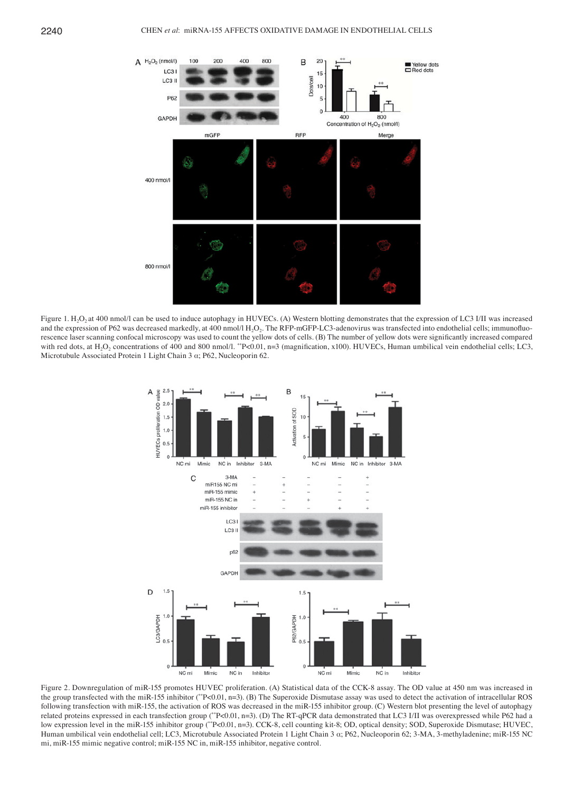

Figure 1. H<sub>2</sub>O<sub>2</sub> at 400 nmol/l can be used to induce autophagy in HUVECs. (A) Western blotting demonstrates that the expression of LC3 I/II was increased and the expression of P62 was decreased markedly, at 400 nmol/l H<sub>2</sub>O<sub>2</sub>. The RFP-mGFP-LC3-adenovirus was transfected into endothelial cells; immunofluorescence laser scanning confocal microscopy was used to count the yellow dots of cells. (B) The number of yellow dots were significantly increased compared with red dots, at H<sub>2</sub>O<sub>2</sub> concentrations of 400 and 800 nmol/l. \*\*P<0.01, n=3 (magnification, x100). HUVECs, Human umbilical vein endothelial cells; LC3, Microtubule Associated Protein 1 Light Chain 3 α; P62, Nucleoporin 62.



Figure 2. Downregulation of miR-155 promotes HUVEC proliferation. (A) Statistical data of the CCK-8 assay. The OD value at 450 nm was increased in the group transfected with the miR-155 inhibitor (\*\*P<0.01, n=3). (B) The Superoxide Dismutase assay was used to detect the activation of intracellular ROS following transfection with miR-155, the activation of ROS was decreased in the miR-155 inhibitor group. (C) Western blot presenting the level of autophagy related proteins expressed in each transfection group (\*\*P<0.01, n=3). (D) The RT-qPCR data demonstrated that LC3 I/II was overexpressed while P62 had a low expression level in the miR-155 inhibitor group (\*\*P<0.01, n=3). CCK-8, cell counting kit-8; OD, optical density; SOD, Superoxide Dismutase; HUVEC, Human umbilical vein endothelial cell; LC3, Microtubule Associated Protein 1 Light Chain 3 α; P62, Nucleoporin 62; 3-MA, 3-methyladenine; miR-155 NC mi, miR-155 mimic negative control; miR-155 NC in, miR-155 inhibitor, negative control.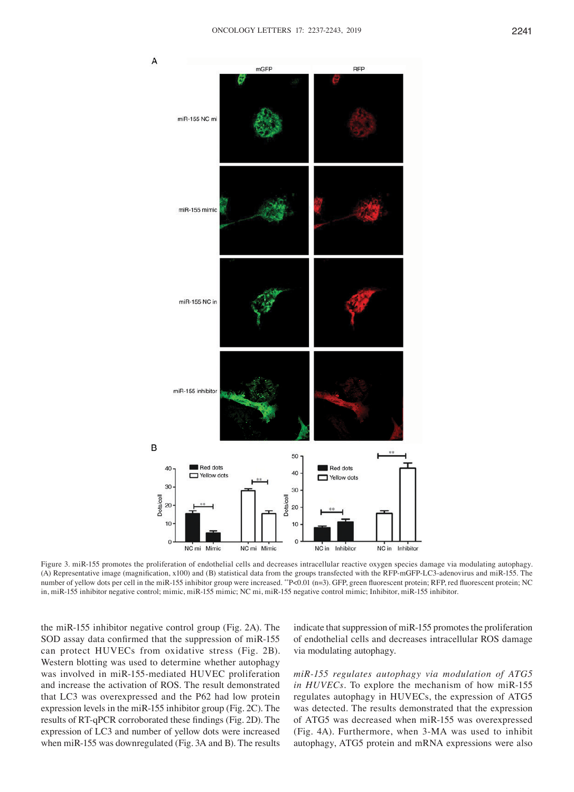

Figure 3. miR-155 promotes the proliferation of endothelial cells and decreases intracellular reactive oxygen species damage via modulating autophagy. (A) Representative image (magnification, x100) and (B) statistical data from the groups transfected with the RFP‑mGFP‑LC3‑adenovirus and miR‑155. The number of yellow dots per cell in the miR-155 inhibitor group were increased. \*\*P<0.01 (n=3). GFP, green fluorescent protein; RFP, red fluorescent protein; NC in, miR-155 inhibitor negative control; mimic, miR-155 mimic; NC mi, miR-155 negative control mimic; Inhibitor, miR-155 inhibitor.

the miR-155 inhibitor negative control group (Fig. 2A). The SOD assay data confirmed that the suppression of miR-155 can protect HUVECs from oxidative stress (Fig. 2B). Western blotting was used to determine whether autophagy was involved in miR-155-mediated HUVEC proliferation and increase the activation of ROS. The result demonstrated that LC3 was overexpressed and the P62 had low protein expression levels in the miR-155 inhibitor group (Fig. 2C). The results of RT‑qPCR corroborated these findings (Fig. 2D). The expression of LC3 and number of yellow dots were increased when miR-155 was downregulated (Fig. 3A and B). The results

indicate that suppression of miR-155 promotes the proliferation of endothelial cells and decreases intracellular ROS damage via modulating autophagy.

*miR‑155 regulates autophagy via modulation of ATG5 in HUVECs.* To explore the mechanism of how miR-155 regulates autophagy in HUVECs, the expression of ATG5 was detected. The results demonstrated that the expression of ATG5 was decreased when miR-155 was overexpressed (Fig. 4A). Furthermore, when 3-MA was used to inhibit autophagy, ATG5 protein and mRNA expressions were also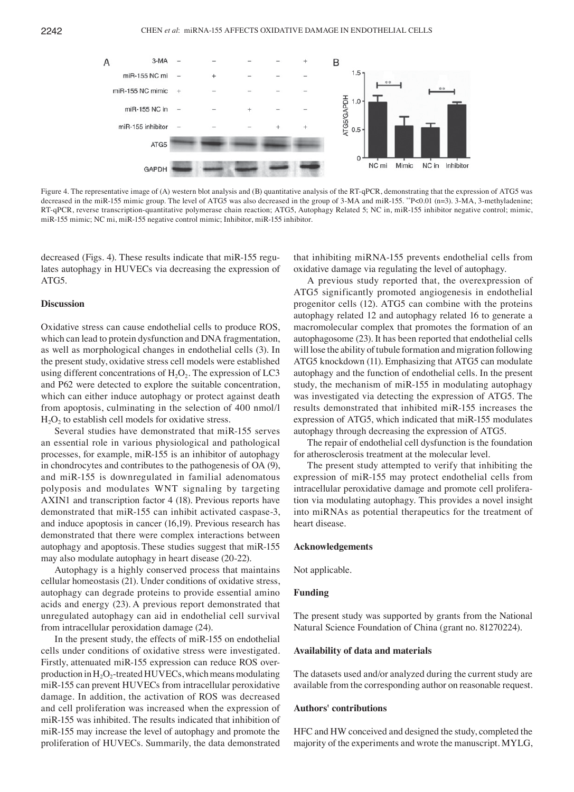

Figure 4. The representative image of (A) western blot analysis and (B) quantitative analysis of the RT-qPCR, demonstrating that the expression of ATG5 was decreased in the miR-155 mimic group. The level of ATG5 was also decreased in the group of 3-MA and miR-155. \*\*P<0.01 (n=3). 3-MA, 3-methyladenine; RT-qPCR, reverse transcription-quantitative polymerase chain reaction; ATG5, Autophagy Related 5; NC in, miR-155 inhibitor negative control; mimic, miR-155 mimic; NC mi, miR-155 negative control mimic; Inhibitor, miR-155 inhibitor.

decreased (Figs. 4). These results indicate that miR-155 regulates autophagy in HUVECs via decreasing the expression of ATG5.

## **Discussion**

Oxidative stress can cause endothelial cells to produce ROS, which can lead to protein dysfunction and DNA fragmentation, as well as morphological changes in endothelial cells (3). In the present study, oxidative stress cell models were established using different concentrations of  $H_2O_2$ . The expression of LC3 and P62 were detected to explore the suitable concentration, which can either induce autophagy or protect against death from apoptosis, culminating in the selection of 400 nmol/l  $H<sub>2</sub>O<sub>2</sub>$  to establish cell models for oxidative stress.

Several studies have demonstrated that miR-155 serves an essential role in various physiological and pathological processes, for example, miR-155 is an inhibitor of autophagy in chondrocytes and contributes to the pathogenesis of OA (9), and miR-155 is downregulated in familial adenomatous polyposis and modulates WNT signaling by targeting AXIN1 and transcription factor 4 (18). Previous reports have demonstrated that miR-155 can inhibit activated caspase-3, and induce apoptosis in cancer (16,19). Previous research has demonstrated that there were complex interactions between autophagy and apoptosis. These studies suggest that miR-155 may also modulate autophagy in heart disease (20-22).

Autophagy is a highly conserved process that maintains cellular homeostasis (21). Under conditions of oxidative stress, autophagy can degrade proteins to provide essential amino acids and energy (23). A previous report demonstrated that unregulated autophagy can aid in endothelial cell survival from intracellular peroxidation damage (24).

In the present study, the effects of miR-155 on endothelial cells under conditions of oxidative stress were investigated. Firstly, attenuated miR-155 expression can reduce ROS overproduction in  $H_2O_2$ -treated HUVECs, which means modulating miR-155 can prevent HUVECs from intracellular peroxidative damage. In addition, the activation of ROS was decreased and cell proliferation was increased when the expression of miR-155 was inhibited. The results indicated that inhibition of miR-155 may increase the level of autophagy and promote the proliferation of HUVECs. Summarily, the data demonstrated

that inhibiting miRNA-155 prevents endothelial cells from oxidative damage via regulating the level of autophagy.

A previous study reported that, the overexpression of ATG5 significantly promoted angiogenesis in endothelial progenitor cells (12). ATG5 can combine with the proteins autophagy related 12 and autophagy related 16 to generate a macromolecular complex that promotes the formation of an autophagosome (23). It has been reported that endothelial cells will lose the ability of tubule formation and migration following ATG5 knockdown (11). Emphasizing that ATG5 can modulate autophagy and the function of endothelial cells. In the present study, the mechanism of miR-155 in modulating autophagy was investigated via detecting the expression of ATG5. The results demonstrated that inhibited miR-155 increases the expression of ATG5, which indicated that miR-155 modulates autophagy through decreasing the expression of ATG5.

The repair of endothelial cell dysfunction is the foundation for atherosclerosis treatment at the molecular level.

The present study attempted to verify that inhibiting the expression of miR-155 may protect endothelial cells from intracellular peroxidative damage and promote cell proliferation via modulating autophagy. This provides a novel insight into miRNAs as potential therapeutics for the treatment of heart disease.

#### **Acknowledgements**

Not applicable.

## **Funding**

The present study was supported by grants from the National Natural Science Foundation of China (grant no. 81270224).

#### **Availability of data and materials**

The datasets used and/or analyzed during the current study are available from the corresponding author on reasonable request.

#### **Authors' contributions**

HFC and HW conceived and designed the study, completed the majority of the experiments and wrote the manuscript. MYLG,